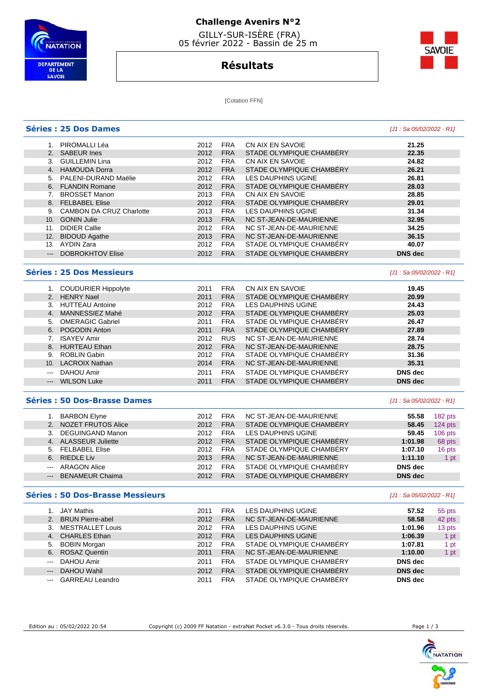

## **Challenge Avenirs N°2**

 GILLY-SUR-ISÈRE (FRA) 05 février 2022 - Bassin de 25 m

## **Résultats**



**[Cotation FFN]** 

#### **Séries : 25 Dos Dames** [J1 : Sa 05/02/2022 - R1] 1. PIROMALLI Léa 2012 FRA CN AIX EN SAVOIE **21.25**  2. SABEUR Ines 2012 FRA STADE OLYMPIQUE CHAMBÉRY **22.35**  3. GUILLEMIN Lina 4. HAMOUDA Dorra 2012 FRA STADE OLYMPIQUE CHAMBÉRY **26.21**  5. PALENI-DURAND Maëlie 2012 FRA LES DAUPHINS UGINE **26.81**  6. FLANDIN Romane 2012 FRA STADE OLYMPIQUE CHAMBÉRY **28.03**  7. BROSSET Manon 2013 FRA CN AIX EN SAVOIE **28.85**  8. FELBABEL Elise 2012 FRA STADE OLYMPIQUE CHAMBÉRY **29.01**  9. CAMBON DA CRUZ Charlotte 2013 FRA LES DAUPHINS UGINE **31.34**  10. GONIN Julie 2013 FRA NC ST-JEAN-DE-MAURIENNE **32.95**  11. DIDIER Callie 2012 FRA NC ST-JEAN-DE-MAURIENNE **34.25**  12. BIDOUD Agathe 2013 FRA NC ST-JEAN-DE-MAURIENNE **36.15**  13. AYDIN Zara 2012 FRA STADE OLYMPIQUE CHAMBÉRY **40.07**  --- DOBROKHTOV Elise 2012 FRA STADE OLYMPIQUE CHAMBÉRY **DNS dec Séries : 25 Dos Messieurs and the series of the series of the series of the series of the series of the series of the series of the series of the series of the series of the series of the series of the series of the ser**  1. COUDURIER Hippolyte 2011 FRA CN AIX EN SAVOIE **19.45**  2011 FRA STADE OLYMPIQUE CHAMBÉRY **20.99**  3. HUTTEAU Antoine 2012 FRA LES DAUPHINS UGINE **24.43**  2012 FRA STADE OLYMPIQUE CHAMBÉRY 5. OMERAGIC Gabriel 2011 FRA STADE OLYMPIQUE CHAMBÉRY **26.47**

| 6. POGODIN Anton   | 2011 | <b>FRA</b> | STADE OLYMPIQUE CHAMBERY | 27.89          |
|--------------------|------|------------|--------------------------|----------------|
| ISAYEV Amir        | 2012 | <b>RUS</b> | NC ST-JEAN-DE-MAURIENNE  | 28.74          |
| 8. HURTEAU Ethan   | 2012 | <b>FRA</b> | NC ST-JEAN-DE-MAURIENNE  | 28.75          |
| 9. ROBLIN Gabin    | 2012 | <b>FRA</b> | STADE OLYMPIQUE CHAMBERY | 31.36          |
| 10. LACROIX Nathan | 2014 | <b>FRA</b> | NC ST-JEAN-DE-MAURIENNE  | 35.31          |
| --- DAHOU Amir     | 2011 | <b>FRA</b> | STADE OLYMPIQUE CHAMBÉRY | DNS dec        |
| --- WILSON Luke    | 2011 | <b>FRA</b> | STADE OLYMPIQUE CHAMBÉRY | <b>DNS</b> dec |
|                    |      |            |                          |                |

#### **Séries : 50 Dos-Brasse Dames and the series of the series of the series of the series of the series (J1 : Sa 05/02/2022 - R1]**

|               | <b>BARBON Elyne</b>      | 2012 | <b>FRA</b> | NC ST-JEAN-DE-MAURIENNE  | 55.58          | 182 pts   |
|---------------|--------------------------|------|------------|--------------------------|----------------|-----------|
|               | 2. NOZET FRUTOS Alice    | 2012 | <b>FRA</b> | STADE OLYMPIQUE CHAMBERY | 58.45          | $124$ pts |
|               | DEGUINGAND Manon         | 2012 | <b>FRA</b> | LES DAUPHINS UGINE       | 59.45          | $106$ pts |
| 4.            | <b>ALASSEUR Juliette</b> | 2012 | <b>FRA</b> | STADE OLYMPIQUE CHAMBÉRY | 1:01.98        | 68 pts    |
|               | 5. FELBABEL Elise        | 2012 | <b>FRA</b> | STADE OLYMPIQUE CHAMBERY | 1:07.10        | 16 pts    |
|               | 6. RIEDLE Liv            | 2013 | <b>FRA</b> | NC ST-JEAN-DE-MAURIENNE  | 1:11.10        | 1 pt      |
| $\frac{1}{2}$ | <b>ARAGON Alice</b>      | 2012 | <b>FRA</b> | STADE OLYMPIQUE CHAMBÉRY | DNS dec        |           |
| $\cdots$      | <b>BENAMEUR Chaima</b>   | 2012 | <b>FRA</b> | STADE OLYMPIQUE CHAMBÉRY | <b>DNS</b> dec |           |

#### **Séries : 50 Dos-Brasse Messieurs** [J1 : Sa 05/02/2022 - R1]

|                      | 1. JAY Mathis          | 2011 | <b>FRA</b> | LES DAUPHINS UGINE       | 57.52          | 55 pts |
|----------------------|------------------------|------|------------|--------------------------|----------------|--------|
|                      | 2. BRUN Pierre-abel    | 2012 | <b>FRA</b> | NC ST-JEAN-DE-MAURIENNE  | 58.58          | 42 pts |
|                      | 3. MESTRALLET Louis    | 2012 | <b>FRA</b> | LES DAUPHINS UGINE       | 1:01.96        | 13 pts |
|                      | 4. CHARLES Ethan       | 2012 | <b>FRA</b> | LES DAUPHINS UGINE       | 1:06.39        | 1 pt   |
|                      | 5. BOBIN Morgan        | 2012 | <b>FRA</b> | STADE OLYMPIQUE CHAMBÉRY | 1:07.81        | 1 pt   |
|                      | 6. ROSAZ Quentin       | 2011 | <b>FRA</b> | NC ST-JEAN-DE-MAURIENNE  | 1:10.00        | 1 pt   |
|                      | --- DAHOU Amir         | 2011 | <b>FRA</b> | STADE OLYMPIQUE CHAMBÉRY | DNS dec        |        |
| $\qquad \qquad - -$  | DAHOU Wahil            | 2012 | <b>FRA</b> | STADE OLYMPIQUE CHAMBÉRY | <b>DNS</b> dec |        |
| $\sim$ $\sim$ $\sim$ | <b>GARREAU Leandro</b> | 2011 | <b>FRA</b> | STADE OLYMPIQUE CHAMBERY | DNS dec        |        |

Edition au : 05/02/2022 20:54 Copyright (c) 2009 FF Natation - extraNat Pocket v6.3.0 - Tous droits réservés.

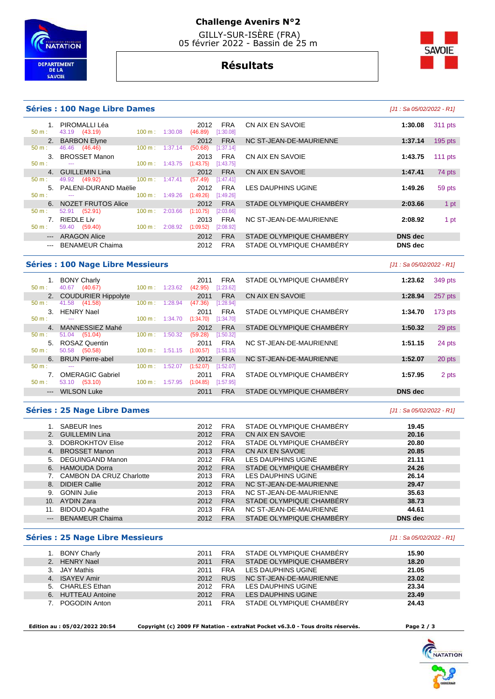

## **Challenge Avenirs N°2**

 GILLY-SUR-ISÈRE (FRA) 05 février 2022 - Bassin de 25 m

**Résultats**

# **SAVOIE**

#### **Séries : 100 Nage Libre Dames**

1. PIROMALLI Léa 2012 FRA<br>
50 m : 43.19 (43.19) 100 m : 1:30.08 (46.89) [1:30.08]

2. BARBON Elyne 2012 FRA<br>
50 m : 46.46 (46.46) 100 m : 1:37.14 (50.68) [1:37.14]

**3. BROSSET Manon** 2013 FRA 50 m :  $\frac{2013}{11143.75}$   $\frac{11143.75}{11143.75}$  [1:43.75]

4. GUILLEMIN Lina 2012 FRA<br>  $\frac{50 \text{ m}}{2}$  100 m; 1:47.41 **(57.49)** [1:47.41]

5. PALENI-DURAND Maëlie 2012 FRA 100 m : 1:49.26 (1:49.26 pm : 1:49.26 pm : 1:49.26 pm : 1:49.26 pm : 1:49.26 p

**6. NOZET FRUTOS Alice** 2012 FRA 50 m : 52.91 (52.91) 100 m : 2:03.66 (1:10.75) [2:03.66] 50 m : 52.91 (52.91) 100 m : 2:03.66 (1:10.75) [2:03.66] 7. RIEDLE Liv 2013 FRA 50 m : 59.40 (59.40) 100 m : 2:08.92 (1:09.52) [2:08.92] --- ARAGON Alice 2012 FRA

|                                                                                                | es: 100 Nage Libre Dames                               |                             |                    |                                                                        |                           | [J1 : Sa 05/02/2022 - R1] |           |
|------------------------------------------------------------------------------------------------|--------------------------------------------------------|-----------------------------|--------------------|------------------------------------------------------------------------|---------------------------|---------------------------|-----------|
| $1_{-}$                                                                                        | PIROMALLI Léa<br>43.19 (43.19)                         | $100 \text{ m}$ :           | 1:30.08            | <b>FRA</b><br>2012<br>(46.89)<br>[1:30.08]                             | CN AIX EN SAVOIE          | 1:30.08                   | 311 pts   |
|                                                                                                | 2. BARBON Elyne                                        |                             |                    | <b>FRA</b><br>2012                                                     | NC ST-JEAN-DE-MAURIENNE   | 1:37.14                   | $195$ pts |
|                                                                                                | 46.46 (46.46)<br>3. BROSSET Manon<br>$\cdots$          | 100 m:<br>$100 \text{ m}$ : | 1:37.14<br>1:43.75 | (50.68)<br>[1:37.14]<br><b>FRA</b><br>2013<br>(1:43.75)<br>[1:43.75]   | CN AIX EN SAVOIE          | 1:43.75                   | 111 $pts$ |
| 4.                                                                                             | <b>GUILLEMIN Lina</b><br>49.92 (49.92)                 | $100 \text{ m}$ :           | 1:47.41            | <b>FRA</b><br>2012<br>(57.49)<br>[1:47.41]                             | CN AIX EN SAVOIE          | 1:47.41                   | 74 pts    |
|                                                                                                | 5. PALENI-DURAND Maëlie<br>$- - -$                     | $100 \text{ m}$ :           | 1:49.26            | <b>FRA</b><br>2012<br>(1:49.26)<br>[1:49.26]                           | <b>LES DAUPHINS UGINE</b> | 1:49.26                   | 59 pts    |
| 6.                                                                                             | <b>NOZET FRUTOS Alice</b>                              |                             |                    | <b>FRA</b><br>2012                                                     | STADE OLYMPIQUE CHAMBERY  | 2:03.66                   | 1 pt      |
| 7.                                                                                             | (52.91)<br>52.91<br><b>RIEDLE Liv</b><br>59.40 (59.40) | 100 m:<br>$100 \text{ m}$ : | 2:03.66<br>2:08.92 | (1:10.75)<br>[2:03.66]<br><b>FRA</b><br>2013<br>(1:09.52)<br>[2:08.92] | NC ST-JEAN-DE-MAURIENNE   | 2:08.92                   | 1 pt      |
| $\qquad \qquad - -$                                                                            | <b>ARAGON Alice</b>                                    |                             |                    | <b>FRA</b><br>2012                                                     | STADE OLYMPIQUE CHAMBERY  | <b>DNS</b> dec            |           |
| $\frac{1}{2} \left( \frac{1}{2} \right) \left( \frac{1}{2} \right) \left( \frac{1}{2} \right)$ | <b>BENAMEUR Chaima</b>                                 |                             |                    | <b>FRA</b><br>2012                                                     | STADE OLYMPIQUE CHAMBERY  | DNS dec                   |           |

#### **Séries : 100 Nage Libre Messieurs Séries : 100 Nage Libre Messieurs and Community Community Community Community**

|                     | <b>BONY Charly</b>         |                   |         | 2011      | <b>FRA</b> | STADE OLYMPIQUE CHAMBERY        | 1:23.62 | 349 pts   |
|---------------------|----------------------------|-------------------|---------|-----------|------------|---------------------------------|---------|-----------|
| $50 m$ :            | (40.67)<br>40.67           | $100 m$ : 1:23.62 |         | (42.95)   | [1:23.62]  |                                 |         |           |
| 2.                  | <b>COUDURIER Hippolyte</b> |                   |         | 2011      | <b>FRA</b> | <b>CN AIX EN SAVOIE</b>         | 1:28.94 | 257 pts   |
| $50 m$ :            | (41.58)<br>41.58           | 100 m:            | 1:28.94 | (47.36)   | [1:28.94]  |                                 |         |           |
| 3.                  | <b>HENRY Nael</b>          |                   |         | 2011      | <b>FRA</b> | STADE OLYMPIQUE CHAMBERY        | 1:34.70 | $173$ pts |
| $50 m$ :            | ---                        | 100 m:            | 1:34.70 | (1:34.70) | [1:34.70]  |                                 |         |           |
| $\mathbf{4}$        | MANNESSIEZ Mahé            |                   |         | 2012      | <b>FRA</b> | STADE OLYMPIQUE CHAMBERY        | 1:50.32 | 29 pts    |
| 50 m:               | (51.04)<br>51.04           | 100 m:            | 1:50.32 | (59.28)   | [1:50.32]  |                                 |         |           |
| 5.                  | ROSAZ Quentin              |                   |         | 2011      | <b>FRA</b> | NC ST-JEAN-DE-MAURIENNE         | 1:51.15 | 24 pts    |
| $50 m$ :            | (50.58)<br>50.58           | $100 \text{ m}$ : | 1:51.15 | (1:00.57) | [1:51.15]  |                                 |         |           |
| 6.                  | <b>BRUN Pierre-abel</b>    |                   |         | 2012      | <b>FRA</b> | NC ST-JEAN-DE-MAURIENNE         | 1:52.07 | 20 pts    |
| 50 m:               | ---                        | 100 m:            | 1:52.07 | (1:52.07) | 1:52.07    |                                 |         |           |
|                     | <b>OMERAGIC Gabriel</b>    |                   |         | 2011      | <b>FRA</b> | STADE OLYMPIQUE CHAMBERY        | 1:57.95 | 2 pts     |
| $50 m$ :            | (53.10)<br>53.10           | $100 \text{ m}$ : | 1:57.95 | (1:04.85) | [1:57.95]  |                                 |         |           |
| $\qquad \qquad - -$ | <b>WILSON Luke</b>         |                   |         | 2011      | <b>FRA</b> | <b>STADE OLYMPIQUE CHAMBERY</b> | DNS dec |           |
|                     |                            |                   |         |           |            |                                 |         |           |

#### **Séries : 25 Nage Libre Dames Contract Contract Contract Contract Contract Contract Contract Contract Contract Contract Contract Contract Contract Contract Contract Contract Contract Contract Contract Contract Contract C**

|       | <b>SABEUR Ines</b>              | 2012 | <b>FRA</b> | STADE OLYMPIQUE CHAMBÉRY | 19.45   |  |
|-------|---------------------------------|------|------------|--------------------------|---------|--|
|       | 2. GUILLEMIN Lina               | 2012 | <b>FRA</b> | CN AIX EN SAVOIE         | 20.16   |  |
|       | <b>DOBROKHTOV Elise</b>         | 2012 | <b>FRA</b> | STADE OLYMPIQUE CHAMBERY | 20.80   |  |
| 4.    | <b>BROSSET Manon</b>            | 2013 | <b>FRA</b> | CN AIX EN SAVOIE         | 20.85   |  |
|       | 5. DEGUINGAND Manon             | 2012 | <b>FRA</b> | LES DAUPHINS UGINE       | 21.11   |  |
|       | 6. HAMOUDA Dorra                | 2012 | <b>FRA</b> | STADE OLYMPIQUE CHAMBERY | 24.26   |  |
|       | <b>CAMBON DA CRUZ Charlotte</b> | 2013 | <b>FRA</b> | LES DAUPHINS UGINE       | 26.14   |  |
|       | 8. DIDIER Callie                | 2012 | <b>FRA</b> | NC ST-JEAN-DE-MAURIENNE  | 29.47   |  |
| 9.    | <b>GONIN Julie</b>              | 2013 | <b>FRA</b> | NC ST-JEAN-DE-MAURIENNE  | 35.63   |  |
| 10.   | AYDIN Zara                      | 2012 | <b>FRA</b> | STADE OLYMPIQUE CHAMBERY | 38.73   |  |
| 11.   | <b>BIDOUD Agathe</b>            | 2013 | <b>FRA</b> | NC ST-JEAN-DE-MAURIENNE  | 44.61   |  |
| $---$ | <b>BENAMEUR Chaima</b>          | 2012 | <b>FRA</b> | STADE OLYMPIQUE CHAMBÉRY | DNS dec |  |

#### **Séries : 25 Nage Libre Messieurs Contract Contract Contract Contract Contract Contract Contract Contract Contract Contract Contract Contract Contract Contract Contract Contract Contract Contract Contract Contract Contra**

|    | <b>BONY Charly</b> | 2011 | <b>FRA</b> | STADE OLYMPIQUE CHAMBÉRY | 15.90 |
|----|--------------------|------|------------|--------------------------|-------|
| 2. | <b>HENRY Nael</b>  | 2011 | <b>FRA</b> | STADE OLYMPIQUE CHAMBÉRY | 18.20 |
|    | JAY Mathis         | 2011 | <b>FRA</b> | LES DAUPHINS UGINE       | 21.05 |
| 4. | <b>ISAYEV Amir</b> | 2012 | <b>RUS</b> | NC ST-JEAN-DE-MAURIENNE  | 23.02 |
|    | 5. CHARLES Ethan   | 2012 | <b>FRA</b> | LES DAUPHINS UGINE       | 23.34 |
|    | 6. HUTTEAU Antoine | 2012 | <b>FRA</b> | LES DAUPHINS UGINE       | 23.49 |
|    | POGODIN Anton      | 2011 | <b>FRA</b> | STADE OLYMPIQUE CHAMBÉRY | 24.43 |
|    |                    |      |            |                          |       |

 **Edition au : 05/02/2022 20:54 Copyright (c) 2009 FF Natation - extraNat Pocket v6.3.0 - Tous droits réservés. Page 2 / 3**